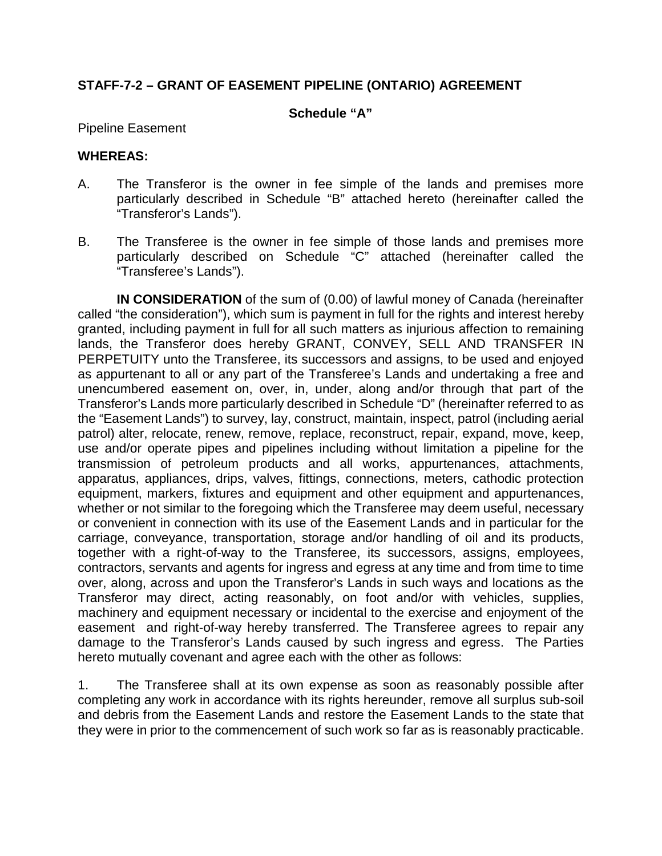### **STAFF-7-2 – GRANT OF EASEMENT PIPELINE (ONTARIO) AGREEMENT**

#### **Schedule "A"**

Pipeline Easement

#### **WHEREAS:**

- A. The Transferor is the owner in fee simple of the lands and premises more particularly described in Schedule "B" attached hereto (hereinafter called the "Transferor's Lands").
- B. The Transferee is the owner in fee simple of those lands and premises more particularly described on Schedule "C" attached (hereinafter called the "Transferee's Lands").

**IN CONSIDERATION** of the sum of (0.00) of lawful money of Canada (hereinafter called "the consideration"), which sum is payment in full for the rights and interest hereby granted, including payment in full for all such matters as injurious affection to remaining lands, the Transferor does hereby GRANT, CONVEY, SELL AND TRANSFER IN PERPETUITY unto the Transferee, its successors and assigns, to be used and enjoyed as appurtenant to all or any part of the Transferee's Lands and undertaking a free and unencumbered easement on, over, in, under, along and/or through that part of the Transferor's Lands more particularly described in Schedule "D" (hereinafter referred to as the "Easement Lands") to survey, lay, construct, maintain, inspect, patrol (including aerial patrol) alter, relocate, renew, remove, replace, reconstruct, repair, expand, move, keep, use and/or operate pipes and pipelines including without limitation a pipeline for the transmission of petroleum products and all works, appurtenances, attachments, apparatus, appliances, drips, valves, fittings, connections, meters, cathodic protection equipment, markers, fixtures and equipment and other equipment and appurtenances, whether or not similar to the foregoing which the Transferee may deem useful, necessary or convenient in connection with its use of the Easement Lands and in particular for the carriage, conveyance, transportation, storage and/or handling of oil and its products, together with a right-of-way to the Transferee, its successors, assigns, employees, contractors, servants and agents for ingress and egress at any time and from time to time over, along, across and upon the Transferor's Lands in such ways and locations as the Transferor may direct, acting reasonably, on foot and/or with vehicles, supplies, machinery and equipment necessary or incidental to the exercise and enjoyment of the easement and right-of-way hereby transferred. The Transferee agrees to repair any damage to the Transferor's Lands caused by such ingress and egress. The Parties hereto mutually covenant and agree each with the other as follows:

1. The Transferee shall at its own expense as soon as reasonably possible after completing any work in accordance with its rights hereunder, remove all surplus sub-soil and debris from the Easement Lands and restore the Easement Lands to the state that they were in prior to the commencement of such work so far as is reasonably practicable.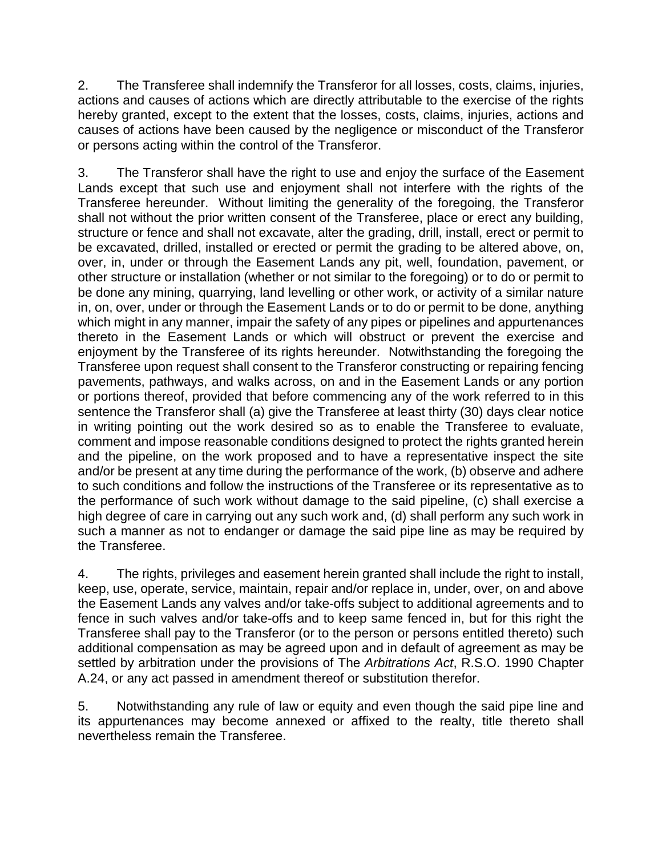2. The Transferee shall indemnify the Transferor for all losses, costs, claims, injuries, actions and causes of actions which are directly attributable to the exercise of the rights hereby granted, except to the extent that the losses, costs, claims, injuries, actions and causes of actions have been caused by the negligence or misconduct of the Transferor or persons acting within the control of the Transferor.

3. The Transferor shall have the right to use and enjoy the surface of the Easement Lands except that such use and enjoyment shall not interfere with the rights of the Transferee hereunder. Without limiting the generality of the foregoing, the Transferor shall not without the prior written consent of the Transferee, place or erect any building, structure or fence and shall not excavate, alter the grading, drill, install, erect or permit to be excavated, drilled, installed or erected or permit the grading to be altered above, on, over, in, under or through the Easement Lands any pit, well, foundation, pavement, or other structure or installation (whether or not similar to the foregoing) or to do or permit to be done any mining, quarrying, land levelling or other work, or activity of a similar nature in, on, over, under or through the Easement Lands or to do or permit to be done, anything which might in any manner, impair the safety of any pipes or pipelines and appurtenances thereto in the Easement Lands or which will obstruct or prevent the exercise and enjoyment by the Transferee of its rights hereunder. Notwithstanding the foregoing the Transferee upon request shall consent to the Transferor constructing or repairing fencing pavements, pathways, and walks across, on and in the Easement Lands or any portion or portions thereof, provided that before commencing any of the work referred to in this sentence the Transferor shall (a) give the Transferee at least thirty (30) days clear notice in writing pointing out the work desired so as to enable the Transferee to evaluate, comment and impose reasonable conditions designed to protect the rights granted herein and the pipeline, on the work proposed and to have a representative inspect the site and/or be present at any time during the performance of the work, (b) observe and adhere to such conditions and follow the instructions of the Transferee or its representative as to the performance of such work without damage to the said pipeline, (c) shall exercise a high degree of care in carrying out any such work and, (d) shall perform any such work in such a manner as not to endanger or damage the said pipe line as may be required by the Transferee.

<span id="page-1-0"></span>4. The rights, privileges and easement herein granted shall include the right to install, keep, use, operate, service, maintain, repair and/or replace in, under, over, on and above the Easement Lands any valves and/or take-offs subject to additional agreements and to fence in such valves and/or take-offs and to keep same fenced in, but for this right the Transferee shall pay to the Transferor (or to the person or persons entitled thereto) such additional compensation as may be agreed upon and in default of agreement as may be settled by arbitration under the provisions of The *Arbitrations Act*, R.S.O. 1990 Chapter A.24, or any act passed in amendment thereof or substitution therefor.

5. Notwithstanding any rule of law or equity and even though the said pipe line and its appurtenances may become annexed or affixed to the realty, title thereto shall nevertheless remain the Transferee.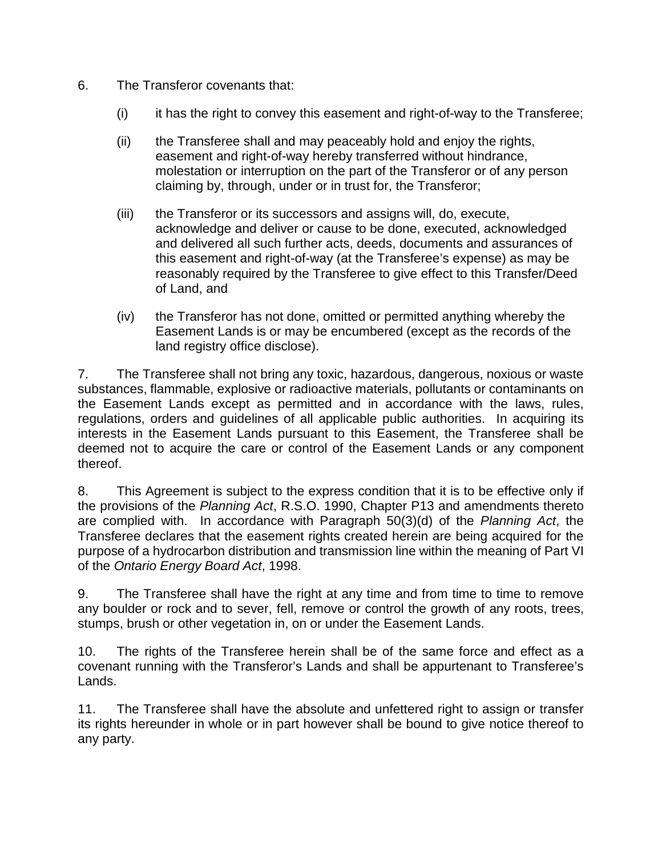- 6. The Transferor covenants that:
	- $(i)$  it has the right to convey this easement and right-of-way to the Transferee;
	- (ii) the Transferee shall and may peaceably hold and enjoy the rights, easement and right-of-way hereby transferred without hindrance, molestation or interruption on the part of the Transferor or of any person claiming by, through, under or in trust for, the Transferor;
	- (iii) the Transferor or its successors and assigns will, do, execute, acknowledge and deliver or cause to be done, executed, acknowledged and delivered all such further acts, deeds, documents and assurances of this easement and right-of-way (at the Transferee's expense) as may be reasonably required by the Transferee to give effect to this Transfer/Deed of Land, and
	- (iv) the Transferor has not done, omitted or permitted anything whereby the Easement Lands is or may be encumbered (except as the records of the land registry office disclose).

7. The Transferee shall not bring any toxic, hazardous, dangerous, noxious or waste substances, flammable, explosive or radioactive materials, pollutants or contaminants on the Easement Lands except as permitted and in accordance with the laws, rules, regulations, orders and guidelines of all applicable public authorities. In acquiring its interests in the Easement Lands pursuant to this Easement, the Transferee shall be deemed not to acquire the care or control of the Easement Lands or any component thereof.

8. This Agreement is subject to the express condition that it is to be effective only if the provisions of the *Planning Act*, R.S.O. 1990, Chapter P13 and amendments thereto are complied with. In accordance with Paragraph 50(3)(d) of the *Planning Act*, the Transferee declares that the easement rights created herein are being acquired for the purpose of a hydrocarbon distribution and transmission line within the meaning of Part VI of the *Ontario Energy Board Act*, 1998.

9. The Transferee shall have the right at any time and from time to time to remove any boulder or rock and to sever, fell, remove or control the growth of any roots, trees, stumps, brush or other vegetation in, on or under the Easement Lands.

10. The rights of the Transferee herein shall be of the same force and effect as a covenant running with the Transferor's Lands and shall be appurtenant to Transferee's Lands.

11. The Transferee shall have the absolute and unfettered right to assign or transfer its rights hereunder in whole or in part however shall be bound to give notice thereof to any party.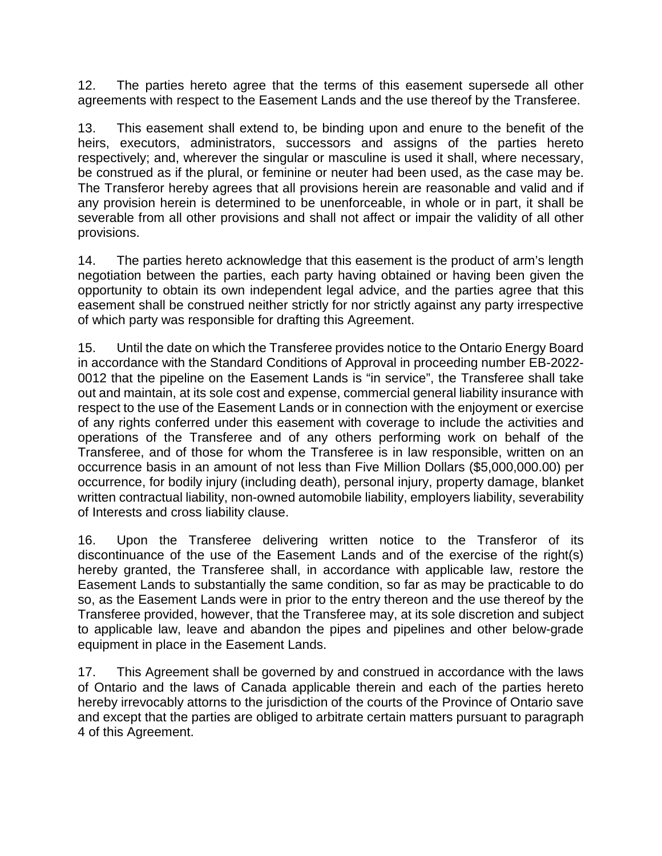12. The parties hereto agree that the terms of this easement supersede all other agreements with respect to the Easement Lands and the use thereof by the Transferee.

13. This easement shall extend to, be binding upon and enure to the benefit of the heirs, executors, administrators, successors and assigns of the parties hereto respectively; and, wherever the singular or masculine is used it shall, where necessary, be construed as if the plural, or feminine or neuter had been used, as the case may be. The Transferor hereby agrees that all provisions herein are reasonable and valid and if any provision herein is determined to be unenforceable, in whole or in part, it shall be severable from all other provisions and shall not affect or impair the validity of all other provisions.

14. The parties hereto acknowledge that this easement is the product of arm's length negotiation between the parties, each party having obtained or having been given the opportunity to obtain its own independent legal advice, and the parties agree that this easement shall be construed neither strictly for nor strictly against any party irrespective of which party was responsible for drafting this Agreement.

15. Until the date on which the Transferee provides notice to the Ontario Energy Board in accordance with the Standard Conditions of Approval in proceeding number EB-2022- 0012 that the pipeline on the Easement Lands is "in service", the Transferee shall take out and maintain, at its sole cost and expense, commercial general liability insurance with respect to the use of the Easement Lands or in connection with the enjoyment or exercise of any rights conferred under this easement with coverage to include the activities and operations of the Transferee and of any others performing work on behalf of the Transferee, and of those for whom the Transferee is in law responsible, written on an occurrence basis in an amount of not less than Five Million Dollars (\$5,000,000.00) per occurrence, for bodily injury (including death), personal injury, property damage, blanket written contractual liability, non-owned automobile liability, employers liability, severability of Interests and cross liability clause.

16. Upon the Transferee delivering written notice to the Transferor of its discontinuance of the use of the Easement Lands and of the exercise of the right(s) hereby granted, the Transferee shall, in accordance with applicable law, restore the Easement Lands to substantially the same condition, so far as may be practicable to do so, as the Easement Lands were in prior to the entry thereon and the use thereof by the Transferee provided, however, that the Transferee may, at its sole discretion and subject to applicable law, leave and abandon the pipes and pipelines and other below-grade equipment in place in the Easement Lands.

17. This Agreement shall be governed by and construed in accordance with the laws of Ontario and the laws of Canada applicable therein and each of the parties hereto hereby irrevocably attorns to the jurisdiction of the courts of the Province of Ontario save and except that the parties are obliged to arbitrate certain matters pursuant to paragraph [4](#page-1-0) of this Agreement.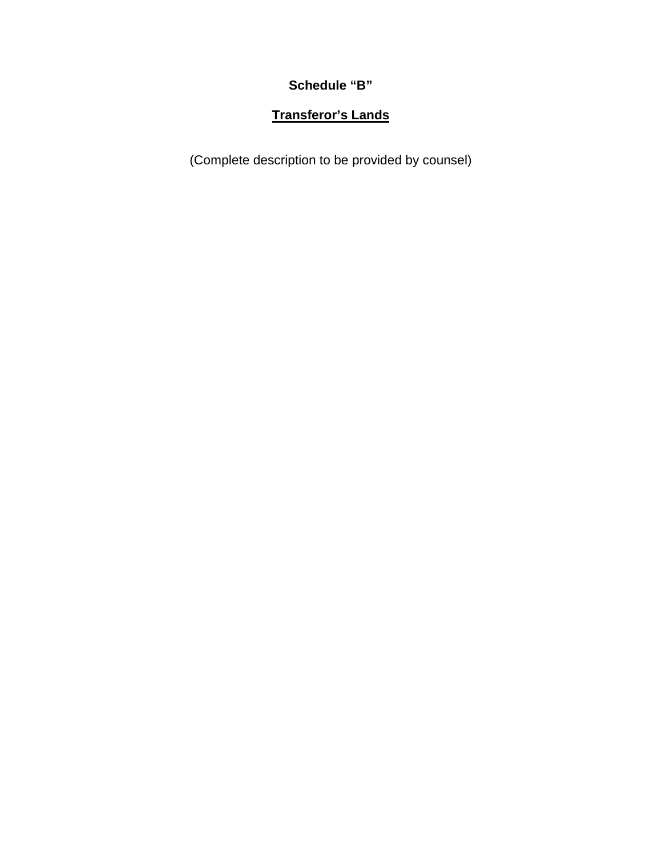**Schedule "B"** 

# **Transferor's Lands**

(Complete description to be provided by counsel)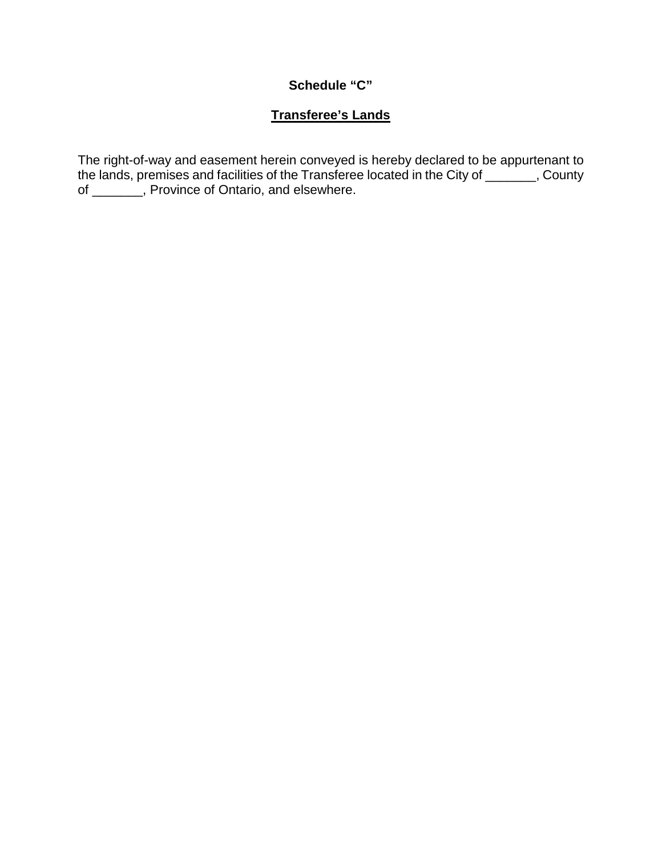### **Schedule "C"**

### **Transferee's Lands**

The right-of-way and easement herein conveyed is hereby declared to be appurtenant to the lands, premises and facilities of the Transferee located in the City of \_\_\_\_\_\_\_, County of \_\_\_\_\_\_\_, Province of Ontario, and elsewhere.